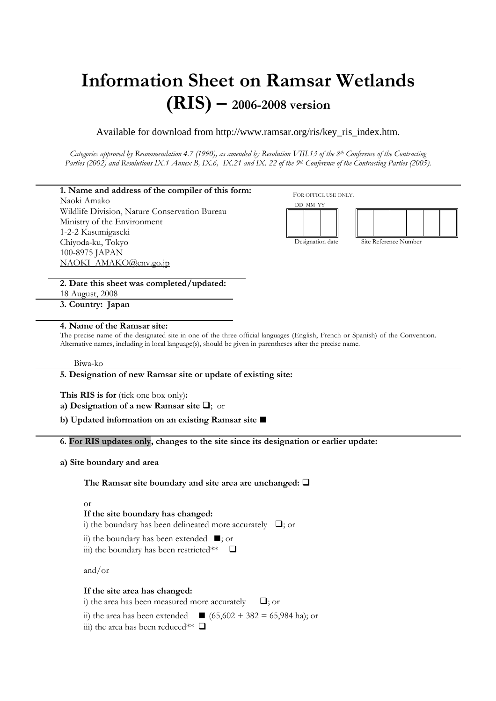# Information Sheet on Ramsar Wetlands (RIS) – 2006-2008 version

# Available for download from http://www.ramsar.org/ris/key\_ris\_index.htm.

Categories approved by Recommendation 4.7 (1990), as amended by Resolution VIII.13 of the  $8^{th}$  Conference of the Contracting Parties (2002) and Resolutions IX.1 Annex B, IX.6, IX.21 and IX. 22 of the 9th Conference of the Contracting Parties (2005).



### 4. Name of the Ramsar site:

The precise name of the designated site in one of the three official languages (English, French or Spanish) of the Convention. Alternative names, including in local language(s), should be given in parentheses after the precise name.

#### Biwa-ko

#### 5. Designation of new Ramsar site or update of existing site:

This RIS is for (tick one box only):

a) Designation of a new Ramsar site  $\Box$ ; or

b) Updated information on an existing Ramsar site ■

6. For RIS updates only, changes to the site since its designation or earlier update:

### a) Site boundary and area

The Ramsar site boundary and site area are unchanged:  $\Box$ 

or

### If the site boundary has changed:

i) the boundary has been delineated more accurately  $\Box$ ; or

ii) the boundary has been extended ■; or

iii) the boundary has been restricted\*\*  $\Box$ 

and/or

### If the site area has changed:

i) the area has been measured more accurately  $\Box$ ; or

ii) the area has been extended  $\Box$  (65,602 + 382 = 65,984 ha); or

iii) the area has been reduced\*\*  $\Box$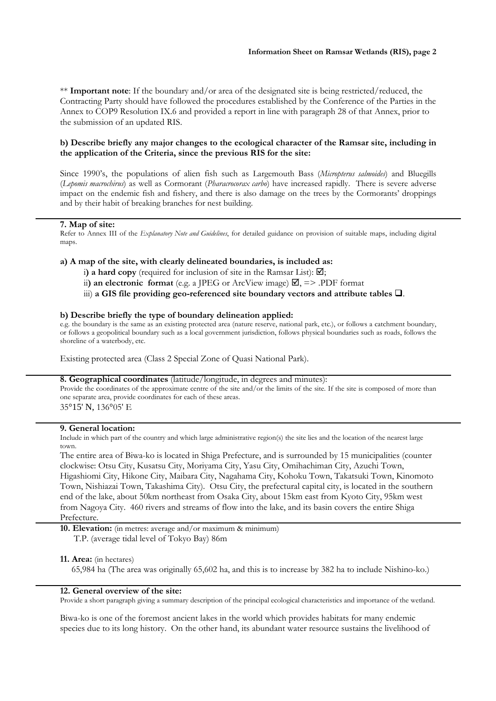\*\* Important note: If the boundary and/or area of the designated site is being restricted/reduced, the Contracting Party should have followed the procedures established by the Conference of the Parties in the Annex to COP9 Resolution IX.6 and provided a report in line with paragraph 28 of that Annex, prior to the submission of an updated RIS.

# b) Describe briefly any major changes to the ecological character of the Ramsar site, including in the application of the Criteria, since the previous RIS for the site:

Since 1990's, the populations of alien fish such as Largemouth Bass (Micropterus salmoides) and Bluegills (Lepomis macrochirus) as well as Cormorant (Pharacrocorax carbo) have increased rapidly. There is severe adverse impact on the endemic fish and fishery, and there is also damage on the trees by the Cormorants' droppings and by their habit of breaking branches for nest building.

#### 7. Map of site:

Refer to Annex III of the *Explanatory Note and Guidelines*, for detailed guidance on provision of suitable maps, including digital maps.

#### a) A map of the site, with clearly delineated boundaries, is included as:

i) a hard copy (required for inclusion of site in the Ramsar List):  $\boxtimes$ ;

ii) an electronic format (e.g. a JPEG or ArcView image)  $\Box$ , => .PDF format

iii) a GIS file providing geo-referenced site boundary vectors and attribute tables  $\Box$ .

#### b) Describe briefly the type of boundary delineation applied:

e.g. the boundary is the same as an existing protected area (nature reserve, national park, etc.), or follows a catchment boundary, or follows a geopolitical boundary such as a local government jurisdiction, follows physical boundaries such as roads, follows the shoreline of a waterbody, etc.

Existing protected area (Class 2 Special Zone of Quasi National Park).

# 8. Geographical coordinates (latitude/longitude, in degrees and minutes):

Provide the coordinates of the approximate centre of the site and/or the limits of the site. If the site is composed of more than one separate area, provide coordinates for each of these areas. 35°15' N, 136°05' E

#### 9. General location:

Include in which part of the country and which large administrative region(s) the site lies and the location of the nearest large town.

The entire area of Biwa-ko is located in Shiga Prefecture, and is surrounded by 15 municipalities (counter clockwise: Otsu City, Kusatsu City, Moriyama City, Yasu City, Omihachiman City, Azuchi Town, Higashiomi City, Hikone City, Maibara City, Nagahama City, Kohoku Town, Takatsuki Town, Kinomoto Town, Nishiazai Town, Takashima City). Otsu City, the prefectural capital city, is located in the southern end of the lake, about 50km northeast from Osaka City, about 15km east from Kyoto City, 95km west from Nagoya City. 460 rivers and streams of flow into the lake, and its basin covers the entire Shiga Prefecture.

10. Elevation: (in metres: average and/or maximum & minimum) T.P. (average tidal level of Tokyo Bay) 86m

#### 11. Area: (in hectares)

65,984 ha (The area was originally 65,602 ha, and this is to increase by 382 ha to include Nishino-ko.)

#### 12. General overview of the site:

Provide a short paragraph giving a summary description of the principal ecological characteristics and importance of the wetland.

Biwa-ko is one of the foremost ancient lakes in the world which provides habitats for many endemic species due to its long history. On the other hand, its abundant water resource sustains the livelihood of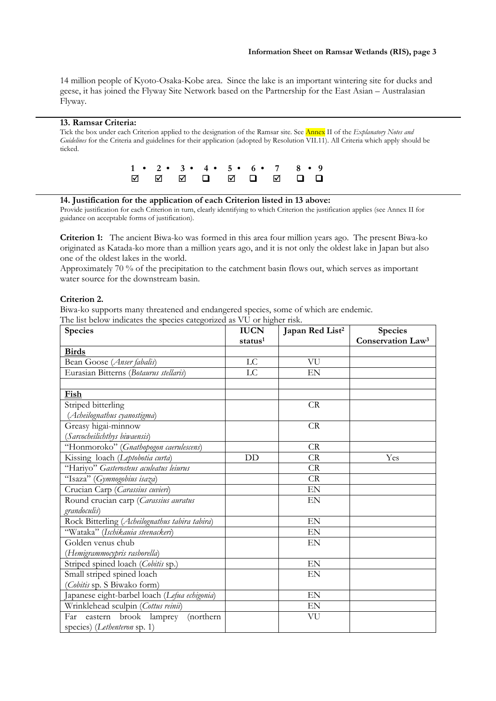14 million people of Kyoto-Osaka-Kobe area. Since the lake is an important wintering site for ducks and geese, it has joined the Flyway Site Network based on the Partnership for the East Asian – Australasian Flyway.

#### 13. Ramsar Criteria:

Tick the box under each Criterion applied to the designation of the Ramsar site. See **Annex** II of the Explanatory Notes and Guidelines for the Criteria and guidelines for their application (adopted by Resolution VII.11). All Criteria which apply should be ticked.



#### 14. Justification for the application of each Criterion listed in 13 above:

Provide justification for each Criterion in turn, clearly identifying to which Criterion the justification applies (see Annex II for guidance on acceptable forms of justification).

Criterion 1: The ancient Biwa-ko was formed in this area four million years ago. The present Biwa-ko originated as Katada-ko more than a million years ago, and it is not only the oldest lake in Japan but also one of the oldest lakes in the world.

Approximately 70 % of the precipitation to the catchment basin flows out, which serves as important water source for the downstream basin.

#### Criterion 2.

Biwa-ko supports many threatened and endangered species, some of which are endemic.

| The list below indicates the species categorized as VU or higher risk. |  |  |
|------------------------------------------------------------------------|--|--|
|------------------------------------------------------------------------|--|--|

| Species                                        | <b>IUCN</b>         | Japan Red List <sup>2</sup> | <b>Species</b>                |
|------------------------------------------------|---------------------|-----------------------------|-------------------------------|
|                                                | status <sup>1</sup> |                             | Conservation Law <sup>3</sup> |
| <b>Birds</b>                                   |                     |                             |                               |
| Bean Goose (Anser fabalis)                     | LC                  | VU                          |                               |
| Eurasian Bitterns (Botaurus stellaris)         | LC                  | EN                          |                               |
|                                                |                     |                             |                               |
| Fish                                           |                     |                             |                               |
| Striped bitterling                             |                     | CR                          |                               |
| (Acheilognathus cyanostigma)                   |                     |                             |                               |
| Greasy higai-minnow                            |                     | CR                          |                               |
| (Sarcocheilichthys biwaensis)                  |                     |                             |                               |
| "Honmoroko" (Gnathopogon caerulescens)         |                     | CR                          |                               |
| Kissing loach (Leptobotia curta)               | DD                  | CR                          | Yes                           |
| "Hariyo" Gasterosteus aculeatus leiurus        |                     | CR                          |                               |
| "Isaza" (Gymnogobius isaza)                    |                     | <b>CR</b>                   |                               |
| Crucian Carp (Carassius cuvieri)               |                     | EN                          |                               |
| Round crucian carp (Carassius auratus          |                     | EN                          |                               |
| grandoculis)                                   |                     |                             |                               |
| Rock Bitterling (Acheilognathus tabira tabira) |                     | EN                          |                               |
| "Wataka" (Ischikauia steenackeri)              |                     | EN                          |                               |
| Golden venus chub                              |                     | EN                          |                               |
| (Hemigrammocypris rasborella)                  |                     |                             |                               |
| Striped spined loach (Cobitis sp.)             |                     | EN                          |                               |
| Small striped spined loach                     |                     | EN                          |                               |
| (Cobitis sp. S Biwako form)                    |                     |                             |                               |
| Japanese eight-barbel loach (Lefua echigonia)  |                     | EN                          |                               |
| Wrinklehead sculpin (Cottus reinii)            |                     | EN                          |                               |
| Far eastern brook lamprey<br>(northern         |                     | VU                          |                               |
| species) (Lethenteron sp. 1)                   |                     |                             |                               |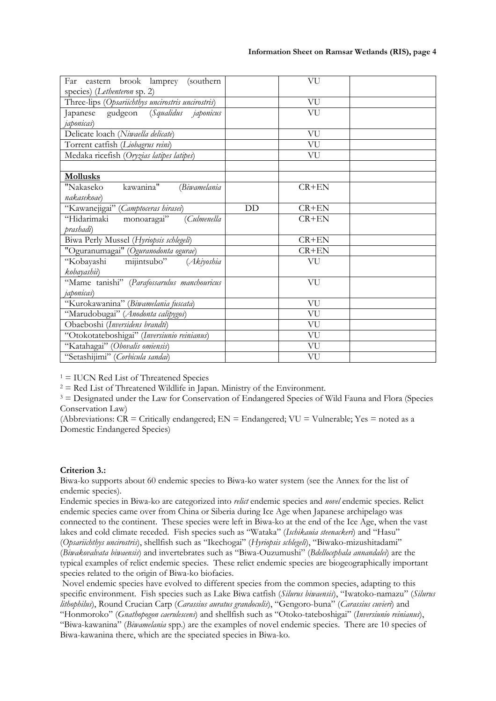| Far eastern brook lamprey (southern                                                |    | VU      |  |
|------------------------------------------------------------------------------------|----|---------|--|
| species) (Lethenteron sp. 2)<br>Three-lips (Opsariichthys uncirostris uncirostris) |    | VU      |  |
| Japanese gudgeon (Squalidus japonicus                                              |    | VU      |  |
| <i>japonicas</i> )                                                                 |    |         |  |
| Delicate loach (Niwaella delicate)                                                 |    | VU      |  |
| Torrent catfish (Liobagrus reini)                                                  |    | VU      |  |
| Medaka ricefish (Oryzias latipes latipes)                                          |    | VU      |  |
|                                                                                    |    |         |  |
| <b>Mollusks</b>                                                                    |    |         |  |
| kawanina"<br>"Nakaseko<br>(Biwamelania                                             |    | $CR+EN$ |  |
| nakasekoae)                                                                        |    |         |  |
| "Kawanejigai" (Camptoceras hirasei)                                                | DD | $CR+EN$ |  |
| "Hidarimaki<br>monoaragai"<br>(Culmenella                                          |    | $CR+EN$ |  |
| prashadi)                                                                          |    |         |  |
| Biwa Perly Mussel (Hyriopsis schlegeli)                                            |    | $CR+EN$ |  |
| "Oguranumagai" (Oguranodonta ogurae)                                               |    | $CR+EN$ |  |
| "Kobayashi mijintsubo" (Akiyoshia                                                  |    | VU      |  |
| kobayashii)                                                                        |    |         |  |
| "Mame tanishi" (Parafossarulus manchouricus                                        |    | VU      |  |
| <i>japonicas</i> )                                                                 |    |         |  |
| "Kurokawanina" (Biwamelania fuscata)                                               |    | VU      |  |
| "Marudobugai" (Anodonta calipygos)                                                 |    | VU      |  |
| Obaeboshi (Inversidens brandti)                                                    |    | VU      |  |
| "Otokotateboshigai" (Inversiunio reinianus)                                        |    | VU      |  |
| "Katahagai" (Obovalis omiensis)                                                    |    | VU      |  |
| "Setashijimi" (Corbicula sandai)                                                   |    | VU      |  |

1 = IUCN Red List of Threatened Species

 $2 =$  Red List of Threatened Wildlife in Japan. Ministry of the Environment.

<sup>3</sup> = Designated under the Law for Conservation of Endangered Species of Wild Fauna and Flora (Species Conservation Law)

(Abbreviations:  $CR =$  Critically endangered;  $EN =$  Endangered;  $VU =$  Vulnerable;  $Yes =$  noted as a Domestic Endangered Species)

# Criterion 3.:

Biwa-ko supports about 60 endemic species to Biwa-ko water system (see the Annex for the list of endemic species).

Endemic species in Biwa-ko are categorized into relict endemic species and novel endemic species. Relict endemic species came over from China or Siberia during Ice Age when Japanese archipelago was connected to the continent. These species were left in Biwa-ko at the end of the Ice Age, when the vast lakes and cold climate receded. Fish species such as "Wataka" (Ischikauia steenackeri) and "Hasu" (Opsariichthys uncirostris), shellfish such as "Ikechogai" (Hyriopsis schlegeli), "Biwako-mizushitadami" (Biwakovalvata biwaensis) and invertebrates such as "Biwa-Ouzumushi" (Bdellocephala annandalei) are the typical examples of relict endemic species. These relict endemic species are biogeographically important species related to the origin of Biwa-ko biofacies.

 Novel endemic species have evolved to different species from the common species, adapting to this specific environment. Fish species such as Lake Biwa catfish (Silurus biwaensis), "Iwatoko-namazu" (Silurus lithophilus), Round Crucian Carp (Carassius auratus grandoculis), "Gengoro-buna" (Carassius cuvieri) and "Honmoroko" (Gnathopogon caerulescens) and shellfish such as "Otoko-tateboshigai" (Inversiunio reinianus), "Biwa-kawanina" (Biwamelania spp.) are the examples of novel endemic species. There are 10 species of

Biwa-kawanina there, which are the speciated species in Biwa-ko.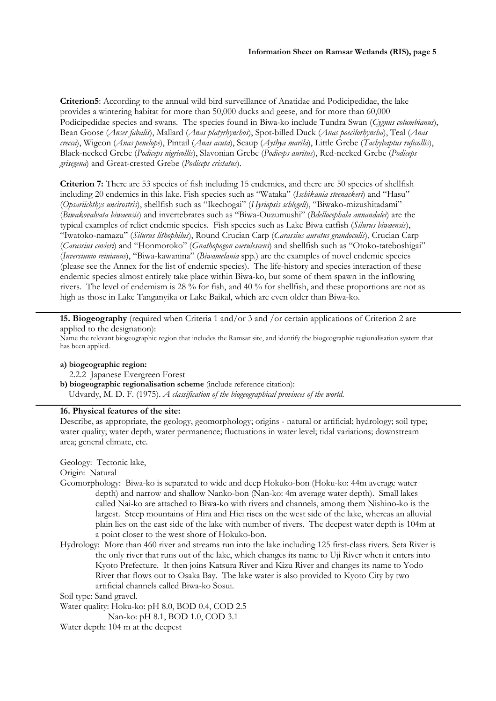Criterion5: According to the annual wild bird surveillance of Anatidae and Podicipedidae, the lake provides a wintering habitat for more than 50,000 ducks and geese, and for more than 60,000 Podicipedidae species and swans. The species found in Biwa-ko include Tundra Swan (Cygnus columbianus), Bean Goose (Anser fabalis), Mallard (Anas platyrhynchos), Spot-billed Duck (Anas poecilorhyncha), Teal (Anas crecca), Wigeon (Anas penelope), Pintail (Anas acuta), Scaup (Aythya marila), Little Grebe (Tachybaptus ruficollis), Black-necked Grebe (Podiceps nigricollis), Slavonian Grebe (Podiceps auritus), Red-necked Grebe (Podiceps grisegena) and Great-crested Grebe (Podiceps cristatus).

Criterion 7: There are 53 species of fish including 15 endemics, and there are 50 species of shellfish including 20 endemics in this lake. Fish species such as "Wataka" (Ischikauia steenackeri) and "Hasu" (Opsariichthys uncirostris), shellfish such as "Ikechogai" (Hyriopsis schlegeli), "Biwako-mizushitadami" (Biwakovalvata biwaensis) and invertebrates such as "Biwa-Ouzumushi" (Bdellocephala annandalei) are the typical examples of relict endemic species. Fish species such as Lake Biwa catfish (Silurus biwaensis), "Iwatoko-namazu" (Silurus lithophilus), Round Crucian Carp (Carassius auratus grandoculis), Crucian Carp (Carassius cuvieri) and "Honmoroko" (Gnathopogon caerulescens) and shellfish such as "Otoko-tateboshigai" (Inversiunio reinianus), "Biwa-kawanina" (Biwamelania spp.) are the examples of novel endemic species (please see the Annex for the list of endemic species). The life-history and species interaction of these endemic species almost entirely take place within Biwa-ko, but some of them spawn in the inflowing rivers. The level of endemism is 28 % for fish, and 40 % for shellfish, and these proportions are not as high as those in Lake Tanganyika or Lake Baikal, which are even older than Biwa-ko.

15. Biogeography (required when Criteria 1 and/or 3 and /or certain applications of Criterion 2 are applied to the designation):

Name the relevant biogeographic region that includes the Ramsar site, and identify the biogeographic regionalisation system that has been applied.

#### a) biogeographic region:

2.2.2 Japanese Evergreen Forest

b) biogeographic regionalisation scheme (include reference citation): Udvardy, M. D. F. (1975). A classification of the biogeographical provinces of the world.

# 16. Physical features of the site:

Describe, as appropriate, the geology, geomorphology; origins - natural or artificial; hydrology; soil type; water quality; water depth, water permanence; fluctuations in water level; tidal variations; downstream area; general climate, etc.

Geology: Tectonic lake,

Origin: Natural

- Geomorphology: Biwa-ko is separated to wide and deep Hokuko-bon (Hoku-ko: 44m average water depth) and narrow and shallow Nanko-bon (Nan-ko: 4m average water depth). Small lakes called Nai-ko are attached to Biwa-ko with rivers and channels, among them Nishino-ko is the largest. Steep mountains of Hira and Hiei rises on the west side of the lake, whereas an alluvial plain lies on the east side of the lake with number of rivers. The deepest water depth is 104m at a point closer to the west shore of Hokuko-bon.
- Hydrology: More than 460 river and streams run into the lake including 125 first-class rivers. Seta River is the only river that runs out of the lake, which changes its name to Uji River when it enters into Kyoto Prefecture. It then joins Katsura River and Kizu River and changes its name to Yodo River that flows out to Osaka Bay. The lake water is also provided to Kyoto City by two artificial channels called Biwa-ko Sosui.

Soil type: Sand gravel.

Water quality: Hoku-ko: pH 8.0, BOD 0.4, COD 2.5 Nan-ko: pH 8.1, BOD 1.0, COD 3.1

Water depth: 104 m at the deepest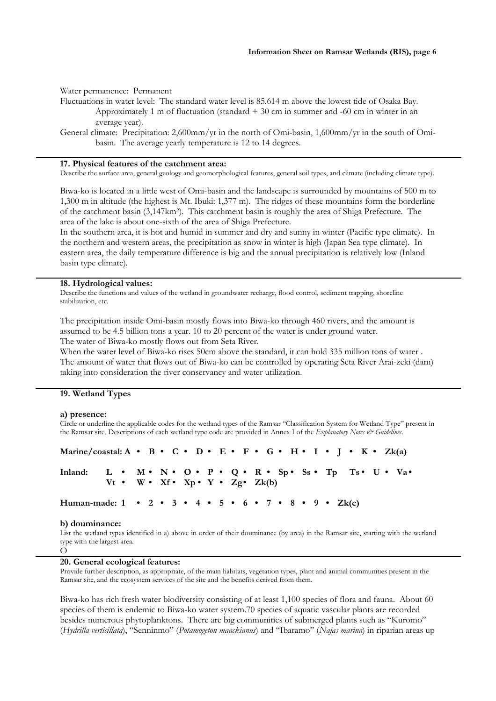Water permanence: Permanent Fluctuations in water level: The standard water level is 85.614 m above the lowest tide of Osaka Bay. Approximately 1 m of fluctuation (standard  $+30$  cm in summer and  $-60$  cm in winter in an average year).

General climate: Precipitation: 2,600mm/yr in the north of Omi-basin, 1,600mm/yr in the south of Omibasin. The average yearly temperature is 12 to 14 degrees.

#### 17. Physical features of the catchment area:

Describe the surface area, general geology and geomorphological features, general soil types, and climate (including climate type).

Biwa-ko is located in a little west of Omi-basin and the landscape is surrounded by mountains of 500 m to 1,300 m in altitude (the highest is Mt. Ibuki: 1,377 m). The ridges of these mountains form the borderline of the catchment basin (3,147km<sup>2</sup> ). This catchment basin is roughly the area of Shiga Prefecture. The area of the lake is about one-sixth of the area of Shiga Prefecture.

In the southern area, it is hot and humid in summer and dry and sunny in winter (Pacific type climate). In the northern and western areas, the precipitation as snow in winter is high (Japan Sea type climate). In eastern area, the daily temperature difference is big and the annual precipitation is relatively low (Inland basin type climate).

#### 18. Hydrological values:

Describe the functions and values of the wetland in groundwater recharge, flood control, sediment trapping, shoreline stabilization, etc.

The precipitation inside Omi-basin mostly flows into Biwa-ko through 460 rivers, and the amount is assumed to be 4.5 billion tons a year. 10 to 20 percent of the water is under ground water. The water of Biwa-ko mostly flows out from Seta River.

When the water level of Biwa-ko rises 50cm above the standard, it can hold 335 million tons of water . The amount of water that flows out of Biwa-ko can be controlled by operating Seta River Arai-zeki (dam) taking into consideration the river conservancy and water utilization.

#### 19. Wetland Types

#### a) presence:

Circle or underline the applicable codes for the wetland types of the Ramsar "Classification System for Wetland Type" present in the Ramsar site. Descriptions of each wetland type code are provided in Annex I of the Explanatory Notes & Guidelines.

| Marine/coastal: A • B • C • D • E • F • G • H • I • J • K • Zk(a) |                                                             |  |  |  |  |  |  |  |  |  |  |  |  |
|-------------------------------------------------------------------|-------------------------------------------------------------|--|--|--|--|--|--|--|--|--|--|--|--|
| Inland: L • M • N • Q • P • Q • R • Sp • Ss • Tp Ts • U • Va •    | $Vt \cdot W \cdot Xf \cdot Xp \cdot Y \cdot Zg \cdot Zk(b)$ |  |  |  |  |  |  |  |  |  |  |  |  |
| Human-made: 1 • 2 • 3 • 4 • 5 • 6 • 7 • 8 • 9 • Zk(c)             |                                                             |  |  |  |  |  |  |  |  |  |  |  |  |

#### b) douminance:

O

List the wetland types identified in a) above in order of their douminance (by area) in the Ramsar site, starting with the wetland type with the largest area.

## 20. General ecological features:

Provide further description, as appropriate, of the main habitats, vegetation types, plant and animal communities present in the Ramsar site, and the ecosystem services of the site and the benefits derived from them.

Biwa-ko has rich fresh water biodiversity consisting of at least 1,100 species of flora and fauna. About 60 species of them is endemic to Biwa-ko water system.70 species of aquatic vascular plants are recorded besides numerous phytoplanktons. There are big communities of submerged plants such as "Kuromo" (Hydrilla verticillata), "Senninmo" (Potamogeton maackianus) and "Ibaramo" (Najas marina) in riparian areas up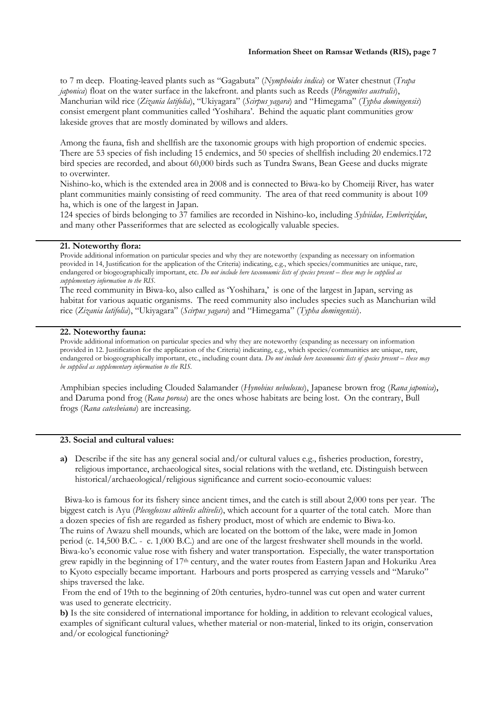to 7 m deep. Floating-leaved plants such as "Gagabuta" (Nymphoides indica) or Water chestnut (Trapa *japonica*) float on the water surface in the lakefront. and plants such as Reeds (*Phragmites australis*), Manchurian wild rice (Zizania latifolia), "Ukiyagara" (Scirpus yagara) and "Himegama" (Typha domingensis) consist emergent plant communities called 'Yoshihara'. Behind the aquatic plant communities grow lakeside groves that are mostly dominated by willows and alders.

Among the fauna, fish and shellfish are the taxonomic groups with high proportion of endemic species. There are 53 species of fish including 15 endemics, and 50 species of shellfish including 20 endemics.172 bird species are recorded, and about 60,000 birds such as Tundra Swans, Bean Geese and ducks migrate to overwinter.

Nishino-ko, which is the extended area in 2008 and is connected to Biwa-ko by Chomeiji River, has water plant communities mainly consisting of reed community. The area of that reed community is about 109 ha, which is one of the largest in Japan.

124 species of birds belonging to 37 families are recorded in Nishino-ko, including Sylviidae, Emberizidae, and many other Passeriformes that are selected as ecologically valuable species.

## 21. Noteworthy flora:

Provide additional information on particular species and why they are noteworthy (expanding as necessary on information provided in 14, Justification for the application of the Criteria) indicating, e.g., which species/communities are unique, rare, endangered or biogeographically important, etc. Do not include here taxonoumic lists of species present – these may be supplied as supplementary information to the RIS.

The reed community in Biwa-ko, also called as 'Yoshihara,' is one of the largest in Japan, serving as habitat for various aquatic organisms. The reed community also includes species such as Manchurian wild rice (Zizania latifolia), "Ukiyagara" (Scirpus yagara) and "Himegama" (Typha domingensis).

# 22. Noteworthy fauna:

Provide additional information on particular species and why they are noteworthy (expanding as necessary on information provided in 12. Justification for the application of the Criteria) indicating, e.g., which species/communities are unique, rare, endangered or biogeographically important, etc., including count data. Do not include here taxonoumic lists of species present - these may be supplied as supplementary information to the RIS.

Amphibian species including Clouded Salamander (Hynobius nebulosus), Japanese brown frog (Rana japonica), and Daruma pond frog (Rana porosa) are the ones whose habitats are being lost. On the contrary, Bull frogs (Rana catesbeiana) are increasing.

# 23. Social and cultural values:

a) Describe if the site has any general social and/or cultural values e.g., fisheries production, forestry, religious importance, archaeological sites, social relations with the wetland, etc. Distinguish between historical/archaeological/religious significance and current socio-econoumic values:

Biwa-ko is famous for its fishery since ancient times, and the catch is still about 2,000 tons per year. The biggest catch is Ayu (Plecoglossus altivelis altivelis), which account for a quarter of the total catch. More than a dozen species of fish are regarded as fishery product, most of which are endemic to Biwa-ko. The ruins of Awazu shell mounds, which are located on the bottom of the lake, were made in Jomon period (c. 14,500 B.C. - c. 1,000 B.C.) and are one of the largest freshwater shell mounds in the world. Biwa-ko's economic value rose with fishery and water transportation. Especially, the water transportation grew rapidly in the beginning of 17th century, and the water routes from Eastern Japan and Hokuriku Area to Kyoto especially became important. Harbours and ports prospered as carrying vessels and "Maruko" ships traversed the lake.

 From the end of 19th to the beginning of 20th centuries, hydro-tunnel was cut open and water current was used to generate electricity.

b) Is the site considered of international importance for holding, in addition to relevant ecological values, examples of significant cultural values, whether material or non-material, linked to its origin, conservation and/or ecological functioning?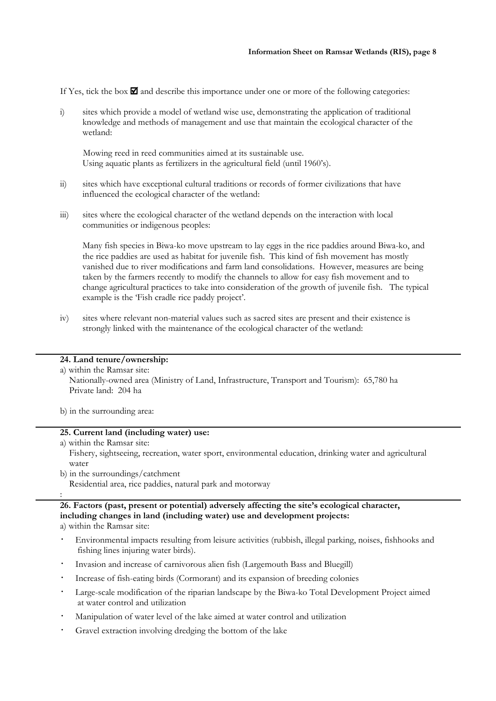If Yes, tick the box  $\blacksquare$  and describe this importance under one or more of the following categories:

i) sites which provide a model of wetland wise use, demonstrating the application of traditional knowledge and methods of management and use that maintain the ecological character of the wetland:

 Mowing reed in reed communities aimed at its sustainable use. Using aquatic plants as fertilizers in the agricultural field (until 1960's).

- ii) sites which have exceptional cultural traditions or records of former civilizations that have influenced the ecological character of the wetland:
- iii) sites where the ecological character of the wetland depends on the interaction with local communities or indigenous peoples:

Many fish species in Biwa-ko move upstream to lay eggs in the rice paddies around Biwa-ko, and the rice paddies are used as habitat for juvenile fish. This kind of fish movement has mostly vanished due to river modifications and farm land consolidations. However, measures are being taken by the farmers recently to modify the channels to allow for easy fish movement and to change agricultural practices to take into consideration of the growth of juvenile fish. The typical example is the 'Fish cradle rice paddy project'.

iv) sites where relevant non-material values such as sacred sites are present and their existence is strongly linked with the maintenance of the ecological character of the wetland:

# 24. Land tenure/ownership:

a) within the Ramsar site:

 Nationally-owned area (Ministry of Land, Infrastructure, Transport and Tourism): 65,780 ha Private land: 204 ha

b) in the surrounding area:

# 25. Current land (including water) use:

a) within the Ramsar site:

:

 Fishery, sightseeing, recreation, water sport, environmental education, drinking water and agricultural water

b) in the surroundings/catchment Residential area, rice paddies, natural park and motorway

# 26. Factors (past, present or potential) adversely affecting the site's ecological character, including changes in land (including water) use and development projects: a) within the Ramsar site:

- Environmental impacts resulting from leisure activities (rubbish, illegal parking, noises, fishhooks and fishing lines injuring water birds).
- Invasion and increase of carnivorous alien fish (Largemouth Bass and Bluegill)
- Increase of fish-eating birds (Cormorant) and its expansion of breeding colonies
- Large-scale modification of the riparian landscape by the Biwa-ko Total Development Project aimed at water control and utilization
- Manipulation of water level of the lake aimed at water control and utilization
- Gravel extraction involving dredging the bottom of the lake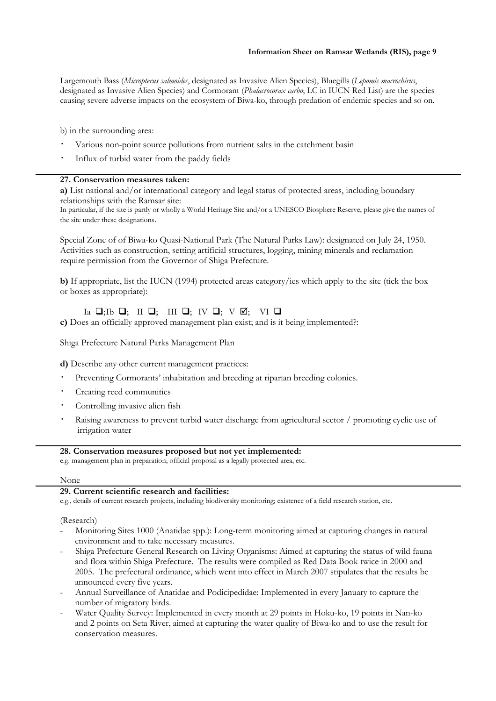# Information Sheet on Ramsar Wetlands (RIS), page 9

Largemouth Bass (Micropterus salmoides, designated as Invasive Alien Species), Bluegills (Lepomis macrochirus, designated as Invasive Alien Species) and Cormorant (Phalacrocorax carbo; LC in IUCN Red List) are the species causing severe adverse impacts on the ecosystem of Biwa-ko, through predation of endemic species and so on.

b) in the surrounding area:

- Various non-point source pollutions from nutrient salts in the catchment basin
- Influx of turbid water from the paddy fields

### 27. Conservation measures taken:

a) List national and/or international category and legal status of protected areas, including boundary relationships with the Ramsar site:

In particular, if the site is partly or wholly a World Heritage Site and/or a UNESCO Biosphere Reserve, please give the names of the site under these designations.

Special Zone of of Biwa-ko Quasi-National Park (The Natural Parks Law): designated on July 24, 1950. Activities such as construction, setting artificial structures, logging, mining minerals and reclamation require permission from the Governor of Shiga Prefecture.

b) If appropriate, list the IUCN (1994) protected areas category/ies which apply to the site (tick the box or boxes as appropriate):

# Ia  $\Box$ ; Ib  $\Box$ ; III  $\Box$ ; IV  $\Box$ ; V  $\Box$ ; VI  $\Box$

c) Does an officially approved management plan exist; and is it being implemented?:

Shiga Prefecture Natural Parks Management Plan

d) Describe any other current management practices:

- Preventing Cormorants' inhabitation and breeding at riparian breeding colonies.
- Creating reed communities
- Controlling invasive alien fish
- Raising awareness to prevent turbid water discharge from agricultural sector / promoting cyclic use of irrigation water

# 28. Conservation measures proposed but not yet implemented:

e.g. management plan in preparation; official proposal as a legally protected area, etc.

#### None

# 29. Current scientific research and facilities:

e.g., details of current research projects, including biodiversity monitoring; existence of a field research station, etc.

### (Research)

- Monitoring Sites 1000 (Anatidae spp.): Long-term monitoring aimed at capturing changes in natural environment and to take necessary measures.
- Shiga Prefecture General Research on Living Organisms: Aimed at capturing the status of wild fauna and flora within Shiga Prefecture. The results were compiled as Red Data Book twice in 2000 and 2005. The prefectural ordinance, which went into effect in March 2007 stipulates that the results be announced every five years.
- Annual Surveillance of Anatidae and Podicipedidae: Implemented in every January to capture the number of migratory birds.
- Water Quality Survey: Implemented in every month at 29 points in Hoku-ko, 19 points in Nan-ko and 2 points on Seta River, aimed at capturing the water quality of Biwa-ko and to use the result for conservation measures.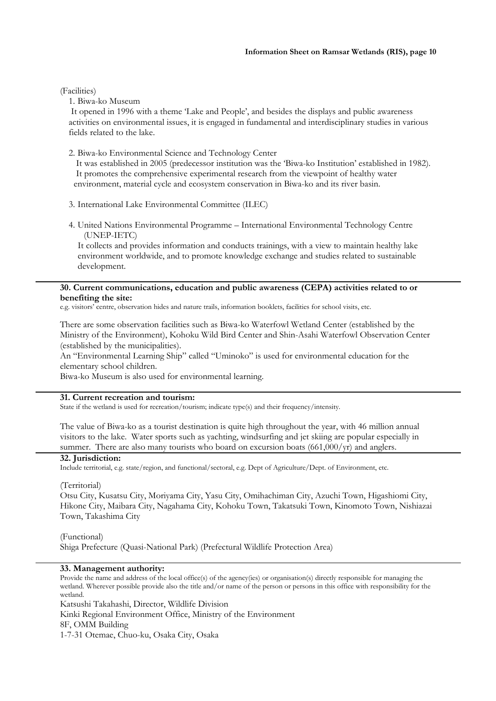# (Facilities)

1. Biwa-ko Museum

 It opened in 1996 with a theme 'Lake and People', and besides the displays and public awareness activities on environmental issues, it is engaged in fundamental and interdisciplinary studies in various fields related to the lake.

2. Biwa-ko Environmental Science and Technology Center

 It was established in 2005 (predecessor institution was the 'Biwa-ko Institution' established in 1982). It promotes the comprehensive experimental research from the viewpoint of healthy water environment, material cycle and ecosystem conservation in Biwa-ko and its river basin.

- 3. International Lake Environmental Committee (ILEC)
- 4. United Nations Environmental Programme International Environmental Technology Centre (UNEP-IETC)

It collects and provides information and conducts trainings, with a view to maintain healthy lake environment worldwide, and to promote knowledge exchange and studies related to sustainable development.

### 30. Current communications, education and public awareness (CEPA) activities related to or benefiting the site:

e.g. visitors' centre, observation hides and nature trails, information booklets, facilities for school visits, etc.

There are some observation facilities such as Biwa-ko Waterfowl Wetland Center (established by the Ministry of the Environment), Kohoku Wild Bird Center and Shin-Asahi Waterfowl Observation Center (established by the municipalities).

An "Environmental Learning Ship" called "Uminoko" is used for environmental education for the elementary school children.

Biwa-ko Museum is also used for environmental learning.

# 31. Current recreation and tourism:

State if the wetland is used for recreation/tourism; indicate type(s) and their frequency/intensity.

The value of Biwa-ko as a tourist destination is quite high throughout the year, with 46 million annual visitors to the lake. Water sports such as yachting, windsurfing and jet skiing are popular especially in summer. There are also many tourists who board on excursion boats (661,000/yr) and anglers.

### 32. Jurisdiction:

Include territorial, e.g. state/region, and functional/sectoral, e.g. Dept of Agriculture/Dept. of Environment, etc.

### (Territorial)

Otsu City, Kusatsu City, Moriyama City, Yasu City, Omihachiman City, Azuchi Town, Higashiomi City, Hikone City, Maibara City, Nagahama City, Kohoku Town, Takatsuki Town, Kinomoto Town, Nishiazai Town, Takashima City

(Functional) Shiga Prefecture (Quasi-National Park) (Prefectural Wildlife Protection Area)

# 33. Management authority:

Provide the name and address of the local office(s) of the agency(ies) or organisation(s) directly responsible for managing the wetland. Wherever possible provide also the title and/or name of the person or persons in this office with responsibility for the wetland.

Katsushi Takahashi, Director, Wildlife Division

Kinki Regional Environment Office, Ministry of the Environment 8F, OMM Building 1-7-31 Otemae, Chuo-ku, Osaka City, Osaka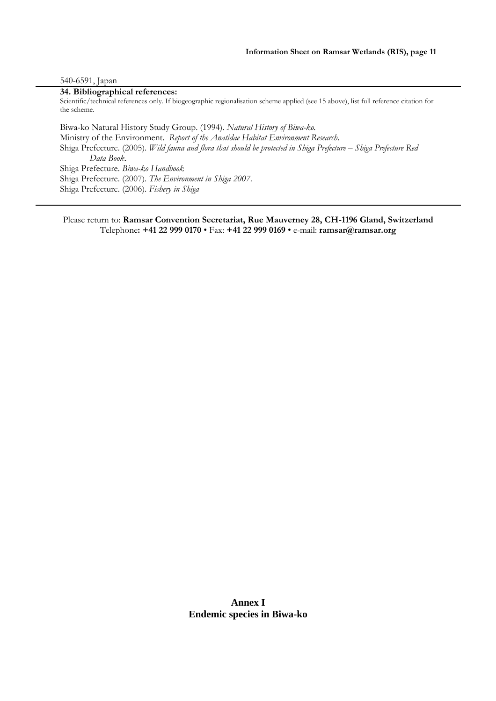#### 540-6591, Japan

# 34. Bibliographical references:

Scientific/technical references only. If biogeographic regionalisation scheme applied (see 15 above), list full reference citation for the scheme.

Biwa-ko Natural History Study Group. (1994). Natural History of Biwa-ko. Ministry of the Environment. Report of the Anatidae Habitat Environment Research. Shiga Prefecture. (2005). Wild fauna and flora that should be protected in Shiga Prefecture – Shiga Prefecture Red Data Book. Shiga Prefecture. Biwa-ko Handbook Shiga Prefecture. (2007). The Environment in Shiga 2007. Shiga Prefecture. (2006). Fishery in Shiga

Please return to: Ramsar Convention Secretariat, Rue Mauverney 28, CH-1196 Gland, Switzerland Telephone: +41 22 999 0170 • Fax: +41 22 999 0169 • e-mail: ramsar@ramsar.org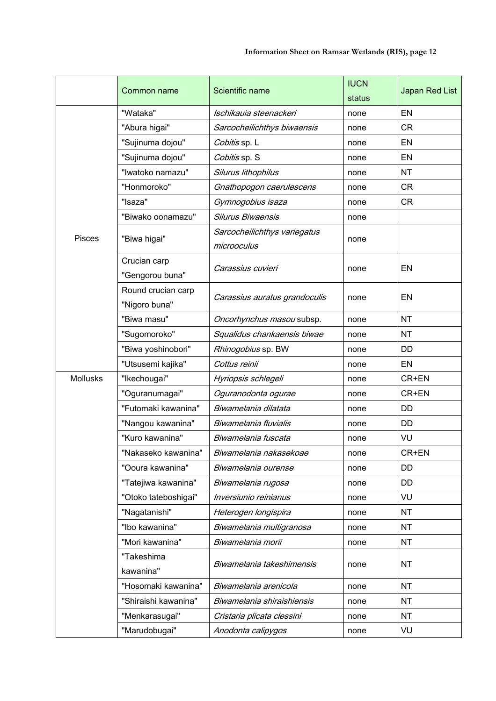|                 | Common name                         | Scientific name                             | <b>IUCN</b><br>status | Japan Red List |  |  |
|-----------------|-------------------------------------|---------------------------------------------|-----------------------|----------------|--|--|
|                 | "Wataka"                            | Ischikauia steenackeri                      | none                  | EN             |  |  |
|                 | "Abura higai"                       | Sarcocheilichthys biwaensis                 | none                  | <b>CR</b>      |  |  |
|                 | "Sujinuma dojou"                    | Cobitis sp. L                               | none                  | EN             |  |  |
|                 | "Sujinuma dojou"                    | Cobitis sp. S                               | none                  | EN             |  |  |
|                 | "Iwatoko namazu"                    | Silurus lithophilus                         | none                  | <b>NT</b>      |  |  |
|                 | "Honmoroko"                         | Gnathopogon caerulescens                    | none                  | <b>CR</b>      |  |  |
|                 | "Isaza"                             | Gymnogobius isaza                           | none                  | <b>CR</b>      |  |  |
|                 | "Biwako oonamazu"                   | Silurus Biwaensis                           | none                  |                |  |  |
| Pisces          | "Biwa higai"                        | Sarcocheilichthys variegatus<br>microoculus | none                  |                |  |  |
|                 | Crucian carp<br>"Gengorou buna"     | Carassius cuvieri                           | none                  | EN             |  |  |
|                 | Round crucian carp<br>"Nigoro buna" | Carassius auratus grandoculis               | none                  | EN             |  |  |
|                 | "Biwa masu"                         | Oncorhynchus masou subsp.                   | none                  | <b>NT</b>      |  |  |
|                 | "Sugomoroko"                        | Squalidus chankaensis biwae                 | none                  | <b>NT</b>      |  |  |
|                 | "Biwa yoshinobori"                  | Rhinogobius sp. BW                          | none                  | DD             |  |  |
|                 | "Utsusemi kajika"                   | Cottus reinii                               | none                  | <b>EN</b>      |  |  |
| <b>Mollusks</b> | "Ikechougai"                        | Hyriopsis schlegeli                         | none                  | CR+EN          |  |  |
|                 | "Oguranumagai"                      | Oguranodonta ogurae                         | none                  | CR+EN          |  |  |
|                 | "Futomaki kawanina"                 | Biwamelania dilatata                        | none                  | <b>DD</b>      |  |  |
|                 | "Nangou kawanina"                   | Biwamelania fluvialis                       | none                  | <b>DD</b>      |  |  |
|                 | "Kuro kawanina"                     | Biwamelania fuscata                         | none                  | VU             |  |  |
|                 | "Nakaseko kawanina"                 | Biwamelania nakasekoae                      | none                  | CR+EN          |  |  |
|                 | "Ooura kawanina"                    | Biwamelania ourense                         | none                  | DD             |  |  |
|                 | "Tatejiwa kawanina"                 | Biwamelania rugosa                          | none                  | DD             |  |  |
|                 | "Otoko tateboshigai"                | Inversiunio reinianus                       | none                  | VU             |  |  |
|                 | "Nagatanishi"                       | Heterogen longispira                        | none                  | <b>NT</b>      |  |  |
|                 | "Ibo kawanina"                      | Biwamelania multigranosa                    | none                  | <b>NT</b>      |  |  |
|                 | "Mori kawanina"                     | Biwamelania morii                           | none                  | <b>NT</b>      |  |  |
|                 | "Takeshima<br>kawanina"             | Biwamelania takeshimensis                   | none                  | NT             |  |  |
|                 | "Hosomaki kawanina"                 | Biwamelania arenicola                       | none                  | <b>NT</b>      |  |  |
|                 | "Shiraishi kawanina"                | Biwamelania shiraishiensis                  | none                  | <b>NT</b>      |  |  |
|                 | "Menkarasugai"                      | Cristaria plicata clessini                  | none                  | <b>NT</b>      |  |  |
|                 | "Marudobugai"                       | Anodonta calipygos                          | none                  | VU             |  |  |